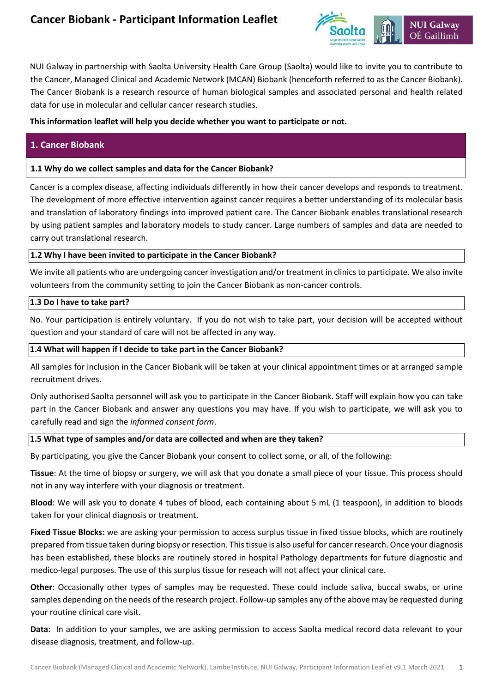

NUI Galway in partnership with Saolta University Health Care Group (Saolta) would like to invite you to contribute to the Cancer, Managed Clinical and Academic Network (MCAN) Biobank (henceforth referred to as the Cancer Biobank). The Cancer Biobank is a research resource of human biological samples and associated personal and health related data for use in molecular and cellular cancer research studies.

## **This information leaflet will help you decide whether you want to participate or not.**

## **1. Cancer Biobank**

## **1.1 Why do we collect samples and data for the Cancer Biobank?**

Cancer is a complex disease, affecting individuals differently in how their cancer develops and responds to treatment. The development of more effective intervention against cancer requires a better understanding of its molecular basis and translation of laboratory findings into improved patient care. The Cancer Biobank enables translational research by using patient samples and laboratory models to study cancer. Large numbers of samples and data are needed to carry out translational research.

## **1.2 Why I have been invited to participate in the Cancer Biobank?**

We invite all patients who are undergoing cancer investigation and/or treatment in clinics to participate. We also invite volunteers from the community setting to join the Cancer Biobank as non-cancer controls.

#### **1.3 Do I have to take part?**

No. Your participation is entirely voluntary. If you do not wish to take part, your decision will be accepted without question and your standard of care will not be affected in any way.

#### **1.4 What will happen if I decide to take part in the Cancer Biobank?**

All samples for inclusion in the Cancer Biobank will be taken at your clinical appointment times or at arranged sample recruitment drives.

Only authorised Saolta personnel will ask you to participate in the Cancer Biobank. Staff will explain how you can take part in the Cancer Biobank and answer any questions you may have. If you wish to participate, we will ask you to carefully read and sign the *informed consent form*.

#### **1.5 What type of samples and/or data are collected and when are they taken?**

By participating, you give the Cancer Biobank your consent to collect some, or all, of the following:

**Tissue**: At the time of biopsy or surgery, we will ask that you donate a small piece of your tissue. This process should not in any way interfere with your diagnosis or treatment.

**Blood**: We will ask you to donate 4 tubes of blood, each containing about 5 mL (1 teaspoon), in addition to bloods taken for your clinical diagnosis or treatment.

**Fixed Tissue Blocks:** we are asking your permission to access surplus tissue in fixed tissue blocks, which are routinely prepared from tissue taken during biopsy or resection. This tissue is also useful for cancer research. Once your diagnosis has been established, these blocks are routinely stored in hospital Pathology departments for future diagnostic and medico-legal purposes. The use of this surplus tissue for reseach will not affect your clinical care.

**Other**: Occasionally other types of samples may be requested. These could include saliva, buccal swabs, or urine samples depending on the needs of the research project. Follow-up samples any of the above may be requested during your routine clinical care visit.

**Data:** In addition to your samples, we are asking permission to access Saolta medical record data relevant to your disease diagnosis, treatment, and follow-up.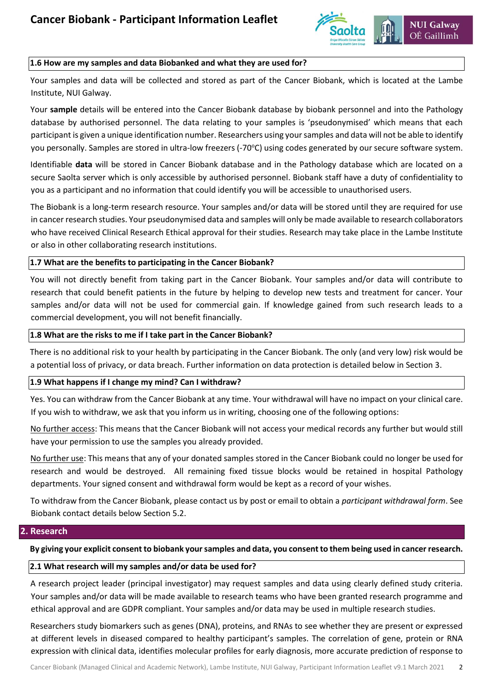

#### **1.6 How are my samples and data Biobanked and what they are used for?**

Your samples and data will be collected and stored as part of the Cancer Biobank, which is located at the Lambe Institute, NUI Galway.

Your **sample** details will be entered into the Cancer Biobank database by biobank personnel and into the Pathology database by authorised personnel. The data relating to your samples is 'pseudonymised' which means that each participant is given a unique identification number. Researchers using your samples and data will not be able to identify you personally. Samples are stored in ultra-low freezers (-70°C) using codes generated by our secure software system.

Identifiable **data** will be stored in Cancer Biobank database and in the Pathology database which are located on a secure Saolta server which is only accessible by authorised personnel. Biobank staff have a duty of confidentiality to you as a participant and no information that could identify you will be accessible to unauthorised users.

The Biobank is a long-term research resource. Your samples and/or data will be stored until they are required for use in cancer research studies. Your pseudonymised data and samples will only be made available to research collaborators who have received Clinical Research Ethical approval for their studies. Research may take place in the Lambe Institute or also in other collaborating research institutions.

#### **1.7 What are the benefits to participating in the Cancer Biobank?**

You will not directly benefit from taking part in the Cancer Biobank. Your samples and/or data will contribute to research that could benefit patients in the future by helping to develop new tests and treatment for cancer. Your samples and/or data will not be used for commercial gain. If knowledge gained from such research leads to a commercial development, you will not benefit financially.

#### **1.8 What are the risks to me if I take part in the Cancer Biobank?**

There is no additional risk to your health by participating in the Cancer Biobank. The only (and very low) risk would be a potential loss of privacy, or data breach. Further information on data protection is detailed below in Section 3.

#### **1.9 What happens if I change my mind? Can I withdraw?**

Yes. You can withdraw from the Cancer Biobank at any time. Your withdrawal will have no impact on your clinical care. If you wish to withdraw, we ask that you inform us in writing, choosing one of the following options:

No further access: This means that the Cancer Biobank will not access your medical records any further but would still have your permission to use the samples you already provided.

No further use: This means that any of your donated samples stored in the Cancer Biobank could no longer be used for research and would be destroyed. All remaining fixed tissue blocks would be retained in hospital Pathology departments. Your signed consent and withdrawal form would be kept as a record of your wishes.

To withdraw from the Cancer Biobank, please contact us by post or email to obtain a *participant withdrawal form*. See Biobank contact details below Section 5.2.

#### **2. Research**

**By giving your explicit consent to biobank your samples and data, you consent to them being used in cancer research.** 

#### **2.1 What research will my samples and/or data be used for?**

A research project leader (principal investigator) may request samples and data using clearly defined study criteria. Your samples and/or data will be made available to research teams who have been granted research programme and ethical approval and are GDPR compliant. Your samples and/or data may be used in multiple research studies.

Researchers study biomarkers such as genes (DNA), proteins, and RNAs to see whether they are present or expressed at different levels in diseased compared to healthy participant's samples. The correlation of gene, protein or RNA expression with clinical data, identifies molecular profiles for early diagnosis, more accurate prediction of response to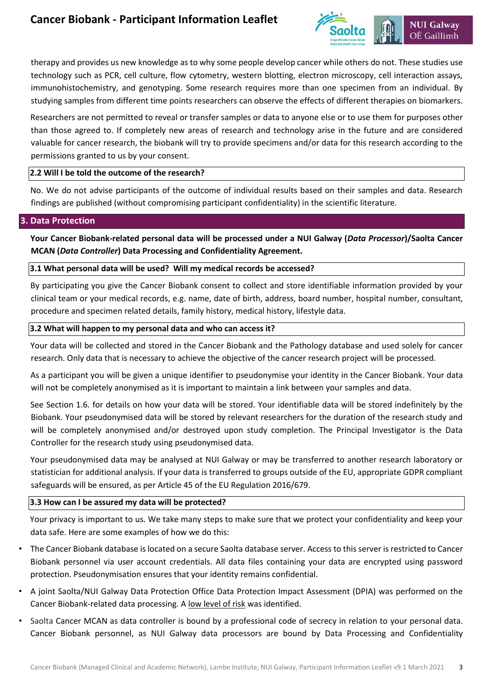# **Cancer Biobank - Participant Information Leaflet**



therapy and provides us new knowledge as to why some people develop cancer while others do not. These studies use technology such as PCR, cell culture, flow cytometry, western blotting, electron microscopy, cell interaction assays, immunohistochemistry, and genotyping. Some research requires more than one specimen from an individual. By studying samples from different time points researchers can observe the effects of different therapies on biomarkers.

Researchers are not permitted to reveal or transfer samples or data to anyone else or to use them for purposes other than those agreed to. If completely new areas of research and technology arise in the future and are considered valuable for cancer research, the biobank will try to provide specimens and/or data for this research according to the permissions granted to us by your consent.

#### **2.2 Will I be told the outcome of the research?**

No. We do not advise participants of the outcome of individual results based on their samples and data. Research findings are published (without compromising participant confidentiality) in the scientific literature.

#### **3. Data Protection**

**Your Cancer Biobank-related personal data will be processed under a NUI Galway (***Data Processor***)/Saolta Cancer MCAN (***Data Controller***) Data Processing and Confidentiality Agreement.** 

#### **3.1 What personal data will be used? Will my medical records be accessed?**

By participating you give the Cancer Biobank consent to collect and store identifiable information provided by your clinical team or your medical records, e.g. name, date of birth, address, board number, hospital number, consultant, procedure and specimen related details, family history, medical history, lifestyle data.

#### **3.2 What will happen to my personal data and who can access it?**

Your data will be collected and stored in the Cancer Biobank and the Pathology database and used solely for cancer research. Only data that is necessary to achieve the objective of the cancer research project will be processed.

As a participant you will be given a unique identifier to pseudonymise your identity in the Cancer Biobank. Your data will not be completely anonymised as it is important to maintain a link between your samples and data.

See Section 1.6. for details on how your data will be stored. Your identifiable data will be stored indefinitely by the Biobank. Your pseudonymised data will be stored by relevant researchers for the duration of the research study and will be completely anonymised and/or destroyed upon study completion. The Principal Investigator is the Data Controller for the research study using pseudonymised data.

Your pseudonymised data may be analysed at NUI Galway or may be transferred to another research laboratory or statistician for additional analysis. If your data is transferred to groups outside of the EU, appropriate GDPR compliant safeguards will be ensured, as per Article 45 of the EU Regulation 2016/679.

#### **3.3 How can I be assured my data will be protected?**

Your privacy is important to us. We take many steps to make sure that we protect your confidentiality and keep your data safe. Here are some examples of how we do this:

- The Cancer Biobank database is located on a secure Saolta database server. Access to this server is restricted to Cancer Biobank personnel via user account credentials. All data files containing your data are encrypted using password protection. Pseudonymisation ensures that your identity remains confidential.
- A joint Saolta/NUI Galway Data Protection Office Data Protection Impact Assessment (DPIA) was performed on the Cancer Biobank-related data processing. A low level of risk was identified.
- Saolta Cancer MCAN as data controller is bound by a professional code of secrecy in relation to your personal data. Cancer Biobank personnel, as NUI Galway data processors are bound by Data Processing and Confidentiality